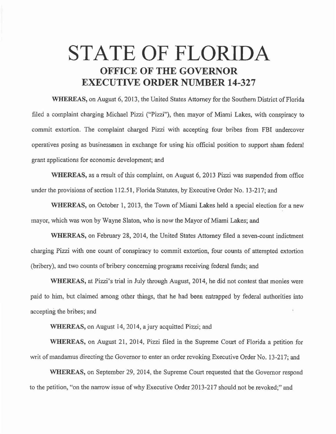## STATE OF FLORIDA OFFICE OF THE GOVERNOR EXECUTIVE ORDER NUMBER 14-327

WHEREAS, on August 6, 2013, the United States Attorney for the Southern District of Florida filed a complaint charging Michael Pizzi ("Pizzi"), then mayor of Miami Lakes, with conspiracy to commit extortion. The complaint charged Pizzi with accepting four bribes from FBI undercover operatives posing as businessmen in exchange for using his official position to support sham federal grant applications for economic development; and

WHEREAS, as a result of this complaint, on August 6, 2013 Pizzi was suspended from office under the provisions of section 112.51, Florida Statutes, by Executive Order No. 13-217; and

WHEREAS, on October 1, 2013, the Town of Miami Lakes held a special election for a new mayor, which was won by Wayne Slaton, who is now the Mayor of Miami Lakes; and

WHEREAS, on February 28, 2014, the United States Attorney filed a seven-count indictment charging Pizzi with one count of conspiracy to commit extortion, four counts of attempted extortion (bribery), and two counts of bribery concerning programs receiving federal funds; and

WHEREAS, at Pizzi's trial in July through August, 2014, he did not contest that monies were paid to him, but claimed among other things, that he had been entrapped by federal authorities into accepting the bribes; and

WHEREAS, on August 14, 2014, a jury acquitted Pizzi; and

WHEREAS, on August 21, 2014, Pizzi filed in the Supreme Court of Florida a petition for writ of mandamus directing the Governor to enter an order revoking Executive Order No. 13-217; and

WHEREAS, on September 29, 2014, the Supreme Court requested that the Governor respond to the petition, "on the narrow issue of why Executive Order 2013-217 should not be revoked;" and